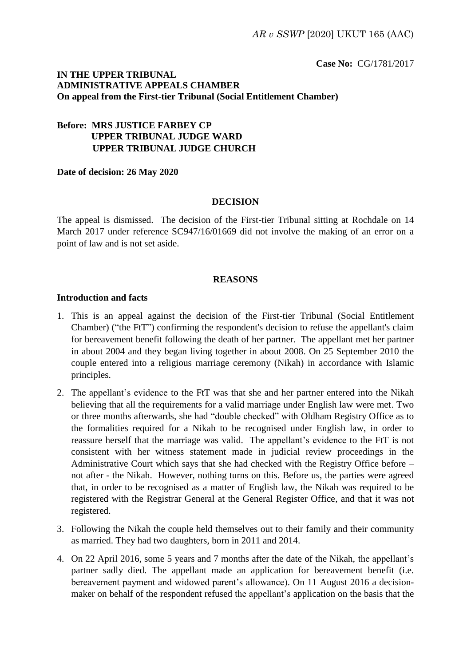**Case No:** CG/1781/2017

# **IN THE UPPER TRIBUNAL ADMINISTRATIVE APPEALS CHAMBER On appeal from the First-tier Tribunal (Social Entitlement Chamber)**

# **Before: MRS JUSTICE FARBEY CP UPPER TRIBUNAL JUDGE WARD UPPER TRIBUNAL JUDGE CHURCH**

#### **Date of decision: 26 May 2020**

#### **DECISION**

The appeal is dismissed. The decision of the First-tier Tribunal sitting at Rochdale on 14 March 2017 under reference SC947/16/01669 did not involve the making of an error on a point of law and is not set aside.

#### **REASONS**

#### **Introduction and facts**

- 1. This is an appeal against the decision of the First-tier Tribunal (Social Entitlement Chamber) ("the FtT") confirming the respondent's decision to refuse the appellant's claim for bereavement benefit following the death of her partner. The appellant met her partner in about 2004 and they began living together in about 2008. On 25 September 2010 the couple entered into a religious marriage ceremony (Nikah) in accordance with Islamic principles.
- 2. The appellant's evidence to the FtT was that she and her partner entered into the Nikah believing that all the requirements for a valid marriage under English law were met. Two or three months afterwards, she had "double checked" with Oldham Registry Office as to the formalities required for a Nikah to be recognised under English law, in order to reassure herself that the marriage was valid. The appellant's evidence to the FtT is not consistent with her witness statement made in judicial review proceedings in the Administrative Court which says that she had checked with the Registry Office before – not after - the Nikah. However, nothing turns on this. Before us, the parties were agreed that, in order to be recognised as a matter of English law, the Nikah was required to be registered with the Registrar General at the General Register Office, and that it was not registered.
- 3. Following the Nikah the couple held themselves out to their family and their community as married. They had two daughters, born in 2011 and 2014.
- 4. On 22 April 2016, some 5 years and 7 months after the date of the Nikah, the appellant's partner sadly died. The appellant made an application for bereavement benefit (i.e. bereavement payment and widowed parent's allowance). On 11 August 2016 a decisionmaker on behalf of the respondent refused the appellant's application on the basis that the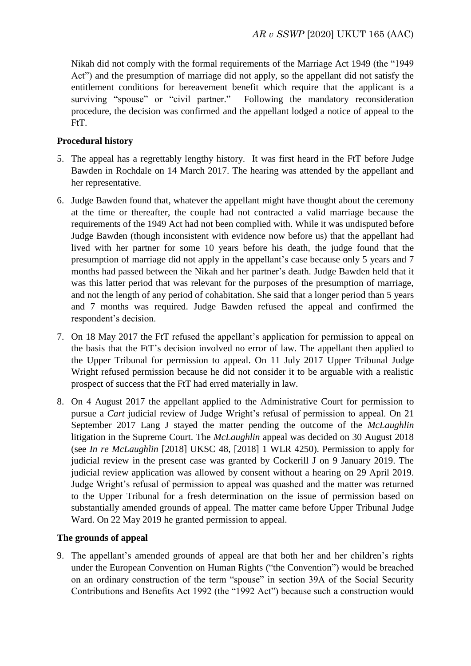Nikah did not comply with the formal requirements of the Marriage Act 1949 (the "1949 Act") and the presumption of marriage did not apply, so the appellant did not satisfy the entitlement conditions for bereavement benefit which require that the applicant is a surviving "spouse" or "civil partner." Following the mandatory reconsideration procedure, the decision was confirmed and the appellant lodged a notice of appeal to the FtT.

## **Procedural history**

- 5. The appeal has a regrettably lengthy history. It was first heard in the FtT before Judge Bawden in Rochdale on 14 March 2017. The hearing was attended by the appellant and her representative.
- 6. Judge Bawden found that, whatever the appellant might have thought about the ceremony at the time or thereafter, the couple had not contracted a valid marriage because the requirements of the 1949 Act had not been complied with. While it was undisputed before Judge Bawden (though inconsistent with evidence now before us) that the appellant had lived with her partner for some 10 years before his death, the judge found that the presumption of marriage did not apply in the appellant's case because only 5 years and 7 months had passed between the Nikah and her partner's death. Judge Bawden held that it was this latter period that was relevant for the purposes of the presumption of marriage, and not the length of any period of cohabitation. She said that a longer period than 5 years and 7 months was required. Judge Bawden refused the appeal and confirmed the respondent's decision.
- 7. On 18 May 2017 the FtT refused the appellant's application for permission to appeal on the basis that the FtT's decision involved no error of law. The appellant then applied to the Upper Tribunal for permission to appeal. On 11 July 2017 Upper Tribunal Judge Wright refused permission because he did not consider it to be arguable with a realistic prospect of success that the FtT had erred materially in law.
- 8. On 4 August 2017 the appellant applied to the Administrative Court for permission to pursue a *Cart* judicial review of Judge Wright's refusal of permission to appeal. On 21 September 2017 Lang J stayed the matter pending the outcome of the *McLaughlin* litigation in the Supreme Court. The *McLaughlin* appeal was decided on 30 August 2018 (see *In re McLaughlin* [2018] UKSC 48, [2018] 1 WLR 4250). Permission to apply for judicial review in the present case was granted by Cockerill J on 9 January 2019. The judicial review application was allowed by consent without a hearing on 29 April 2019. Judge Wright's refusal of permission to appeal was quashed and the matter was returned to the Upper Tribunal for a fresh determination on the issue of permission based on substantially amended grounds of appeal. The matter came before Upper Tribunal Judge Ward. On 22 May 2019 he granted permission to appeal.

### **The grounds of appeal**

9. The appellant's amended grounds of appeal are that both her and her children's rights under the European Convention on Human Rights ("the Convention") would be breached on an ordinary construction of the term "spouse" in section 39A of the Social Security Contributions and Benefits Act 1992 (the "1992 Act") because such a construction would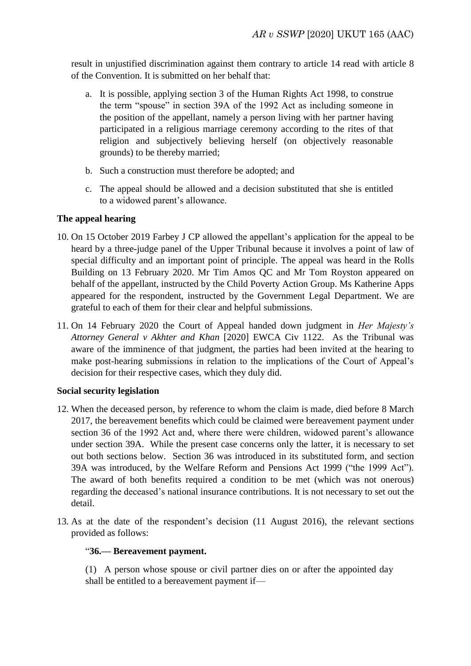result in unjustified discrimination against them contrary to article 14 read with article 8 of the Convention. It is submitted on her behalf that:

- a. It is possible, applying section 3 of the Human Rights Act 1998, to construe the term "spouse" in section 39A of the 1992 Act as including someone in the position of the appellant, namely a person living with her partner having participated in a religious marriage ceremony according to the rites of that religion and subjectively believing herself (on objectively reasonable grounds) to be thereby married;
- b. Such a construction must therefore be adopted; and
- c. The appeal should be allowed and a decision substituted that she is entitled to a widowed parent's allowance.

# **The appeal hearing**

- 10. On 15 October 2019 Farbey J CP allowed the appellant's application for the appeal to be heard by a three-judge panel of the Upper Tribunal because it involves a point of law of special difficulty and an important point of principle. The appeal was heard in the Rolls Building on 13 February 2020. Mr Tim Amos QC and Mr Tom Royston appeared on behalf of the appellant, instructed by the Child Poverty Action Group. Ms Katherine Apps appeared for the respondent, instructed by the Government Legal Department. We are grateful to each of them for their clear and helpful submissions.
- 11. On 14 February 2020 the Court of Appeal handed down judgment in *Her Majesty's Attorney General v Akhter and Khan* [2020] EWCA Civ 1122. As the Tribunal was aware of the imminence of that judgment, the parties had been invited at the hearing to make post-hearing submissions in relation to the implications of the Court of Appeal's decision for their respective cases, which they duly did.

### **Social security legislation**

- 12. When the deceased person, by reference to whom the claim is made, died before 8 March 2017, the bereavement benefits which could be claimed were bereavement payment under section 36 of the 1992 Act and, where there were children, widowed parent's allowance under section 39A. While the present case concerns only the latter, it is necessary to set out both sections below. Section 36 was introduced in its substituted form, and section 39A was introduced, by the Welfare Reform and Pensions Act 1999 ("the 1999 Act"). The award of both benefits required a condition to be met (which was not onerous) regarding the deceased's national insurance contributions. It is not necessary to set out the detail.
- 13. As at the date of the respondent's decision (11 August 2016), the relevant sections provided as follows:

### "**36.— Bereavement payment.**

(1) A person whose spouse or civil partner dies on or after the appointed day shall be entitled to a bereavement payment if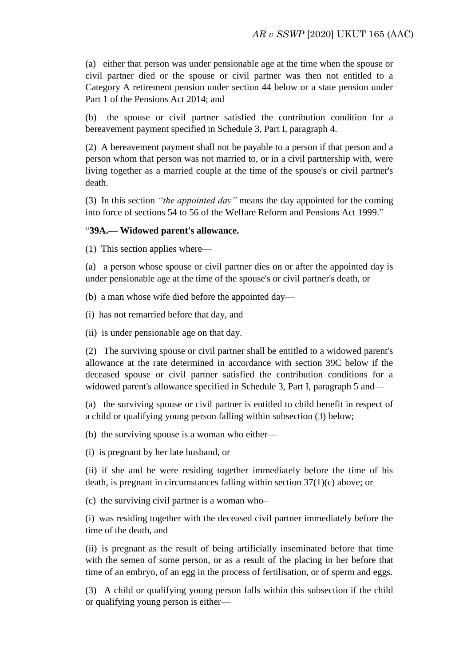(a) either that person was under pensionable age at the time when the spouse or civil partner died or the spouse or civil partner was then not entitled to a Category A retirement pension under section 44 below or a state pension under Part 1 of the Pensions Act 2014; and

(b) the spouse or civil partner satisfied the contribution condition for a bereavement payment specified in Schedule 3, Part I, paragraph 4.

(2) A bereavement payment shall not be payable to a person if that person and a person whom that person was not married to, or in a civil partnership with, were living together as a married couple at the time of the spouse's or civil partner's death.

(3) In this section *"the appointed day"* means the day appointed for the coming into force of sections 54 to 56 of the Welfare Reform and Pensions Act 1999."

### "**39A.— Widowed parent's allowance.**

(1) This section applies where—

(a) a person whose spouse or civil partner dies on or after the appointed day is under pensionable age at the time of the spouse's or civil partner's death, or

(b) a man whose wife died before the appointed day—

(i) has not remarried before that day, and

(ii) is under pensionable age on that day.

(2) The surviving spouse or civil partner shall be entitled to a widowed parent's allowance at the rate determined in accordance with section 39C below if the deceased spouse or civil partner satisfied the contribution conditions for a widowed parent's allowance specified in Schedule 3, Part I, paragraph 5 and—

(a) the surviving spouse or civil partner is entitled to child benefit in respect of a child or qualifying young person falling within subsection (3) below;

(b) the surviving spouse is a woman who either—

(i) is pregnant by her late husband, or

(ii) if she and he were residing together immediately before the time of his death, is pregnant in circumstances falling within section 37(1)(c) above; or

(c) the surviving civil partner is a woman who–

(i) was residing together with the deceased civil partner immediately before the time of the death, and

(ii) is pregnant as the result of being artificially inseminated before that time with the semen of some person, or as a result of the placing in her before that time of an embryo, of an egg in the process of fertilisation, or of sperm and eggs.

(3) A child or qualifying young person falls within this subsection if the child or qualifying young person is either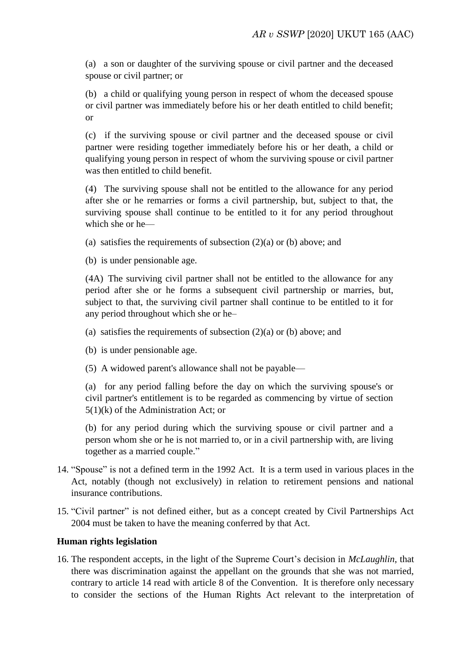(a) a son or daughter of the surviving spouse or civil partner and the deceased spouse or civil partner; or

(b) a child or qualifying young person in respect of whom the deceased spouse or civil partner was immediately before his or her death entitled to child benefit; or

(c) if the surviving spouse or civil partner and the deceased spouse or civil partner were residing together immediately before his or her death, a child or qualifying young person in respect of whom the surviving spouse or civil partner was then entitled to child benefit.

(4) The surviving spouse shall not be entitled to the allowance for any period after she or he remarries or forms a civil partnership, but, subject to that, the surviving spouse shall continue to be entitled to it for any period throughout which she or he—

(a) satisfies the requirements of subsection  $(2)(a)$  or (b) above; and

(b) is under pensionable age.

(4A) The surviving civil partner shall not be entitled to the allowance for any period after she or he forms a subsequent civil partnership or marries, but, subject to that, the surviving civil partner shall continue to be entitled to it for any period throughout which she or he–

- (a) satisfies the requirements of subsection  $(2)(a)$  or (b) above; and
- (b) is under pensionable age.
- (5) A widowed parent's allowance shall not be payable—

(a) for any period falling before the day on which the surviving spouse's or civil partner's entitlement is to be regarded as commencing by virtue of section  $5(1)(k)$  of the Administration Act; or

(b) for any period during which the surviving spouse or civil partner and a person whom she or he is not married to, or in a civil partnership with, are living together as a married couple."

- 14. "Spouse" is not a defined term in the 1992 Act. It is a term used in various places in the Act, notably (though not exclusively) in relation to retirement pensions and national insurance contributions.
- 15. "Civil partner" is not defined either, but as a concept created by Civil Partnerships Act 2004 must be taken to have the meaning conferred by that Act.

# **Human rights legislation**

16. The respondent accepts, in the light of the Supreme Court's decision in *McLaughlin*, that there was discrimination against the appellant on the grounds that she was not married, contrary to article 14 read with article 8 of the Convention. It is therefore only necessary to consider the sections of the Human Rights Act relevant to the interpretation of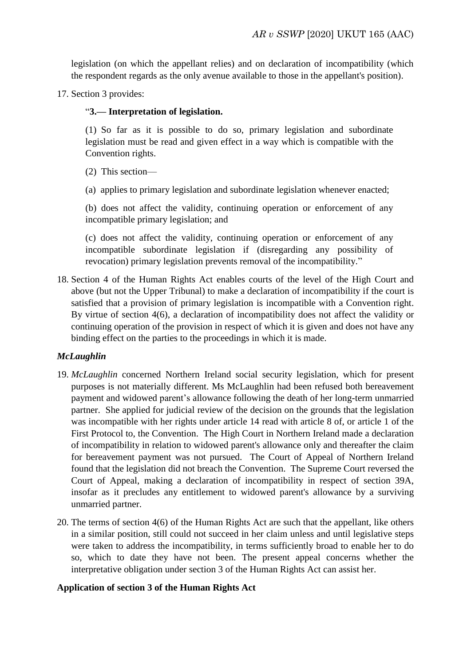legislation (on which the appellant relies) and on declaration of incompatibility (which the respondent regards as the only avenue available to those in the appellant's position).

17. Section 3 provides:

### "**3.— Interpretation of legislation.**

(1) So far as it is possible to do so, primary legislation and subordinate legislation must be read and given effect in a way which is compatible with the Convention rights.

- (2) This section—
- (a) applies to primary legislation and subordinate legislation whenever enacted;

(b) does not affect the validity, continuing operation or enforcement of any incompatible primary legislation; and

(c) does not affect the validity, continuing operation or enforcement of any incompatible subordinate legislation if (disregarding any possibility of revocation) primary legislation prevents removal of the incompatibility."

18. Section 4 of the Human Rights Act enables courts of the level of the High Court and above (but not the Upper Tribunal) to make a declaration of incompatibility if the court is satisfied that a provision of primary legislation is incompatible with a Convention right. By virtue of section 4(6), a declaration of incompatibility does not affect the validity or continuing operation of the provision in respect of which it is given and does not have any binding effect on the parties to the proceedings in which it is made.

# *McLaughlin*

- 19. *McLaughlin* concerned Northern Ireland social security legislation, which for present purposes is not materially different. Ms McLaughlin had been refused both bereavement payment and widowed parent's allowance following the death of her long-term unmarried partner. She applied for judicial review of the decision on the grounds that the legislation was incompatible with her rights under article 14 read with article 8 of, or article 1 of the First Protocol to, the Convention. The High Court in Northern Ireland made a declaration of incompatibility in relation to widowed parent's allowance only and thereafter the claim for bereavement payment was not pursued. The Court of Appeal of Northern Ireland found that the legislation did not breach the Convention. The Supreme Court reversed the Court of Appeal, making a declaration of incompatibility in respect of section 39A, insofar as it precludes any entitlement to widowed parent's allowance by a surviving unmarried partner.
- 20. The terms of section 4(6) of the Human Rights Act are such that the appellant, like others in a similar position, still could not succeed in her claim unless and until legislative steps were taken to address the incompatibility, in terms sufficiently broad to enable her to do so, which to date they have not been. The present appeal concerns whether the interpretative obligation under section 3 of the Human Rights Act can assist her.

### **Application of section 3 of the Human Rights Act**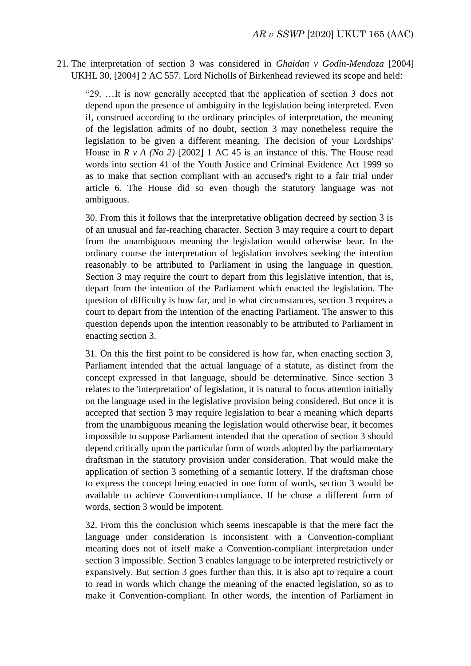### 21. The interpretation of section 3 was considered in *Ghaidan v Godin-Mendoza* [2004] UKHL 30, [2004] 2 AC 557. Lord Nicholls of Birkenhead reviewed its scope and held:

"29. …It is now generally accepted that the application of section 3 does not depend upon the presence of ambiguity in the legislation being interpreted. Even if, construed according to the ordinary principles of interpretation, the meaning of the legislation admits of no doubt, section 3 may nonetheless require the legislation to be given a different meaning. The decision of your Lordships' House in *R v A (No 2)* [2002] 1 AC 45 is an instance of this. The House read words into section 41 of the Youth Justice and Criminal Evidence Act 1999 so as to make that section compliant with an accused's right to a fair trial under article 6. The House did so even though the statutory language was not ambiguous.

30. From this it follows that the interpretative obligation decreed by section 3 is of an unusual and far-reaching character. Section 3 may require a court to depart from the unambiguous meaning the legislation would otherwise bear. In the ordinary course the interpretation of legislation involves seeking the intention reasonably to be attributed to Parliament in using the language in question. Section 3 may require the court to depart from this legislative intention, that is, depart from the intention of the Parliament which enacted the legislation. The question of difficulty is how far, and in what circumstances, section 3 requires a court to depart from the intention of the enacting Parliament. The answer to this question depends upon the intention reasonably to be attributed to Parliament in enacting section 3.

31. On this the first point to be considered is how far, when enacting section 3, Parliament intended that the actual language of a statute, as distinct from the concept expressed in that language, should be determinative. Since section 3 relates to the 'interpretation' of legislation, it is natural to focus attention initially on the language used in the legislative provision being considered. But once it is accepted that section 3 may require legislation to bear a meaning which departs from the unambiguous meaning the legislation would otherwise bear, it becomes impossible to suppose Parliament intended that the operation of section 3 should depend critically upon the particular form of words adopted by the parliamentary draftsman in the statutory provision under consideration. That would make the application of section 3 something of a semantic lottery. If the draftsman chose to express the concept being enacted in one form of words, section 3 would be available to achieve Convention-compliance. If he chose a different form of words, section 3 would be impotent.

32. From this the conclusion which seems inescapable is that the mere fact the language under consideration is inconsistent with a Convention-compliant meaning does not of itself make a Convention-compliant interpretation under section 3 impossible. Section 3 enables language to be interpreted restrictively or expansively. But section 3 goes further than this. It is also apt to require a court to read in words which change the meaning of the enacted legislation, so as to make it Convention-compliant. In other words, the intention of Parliament in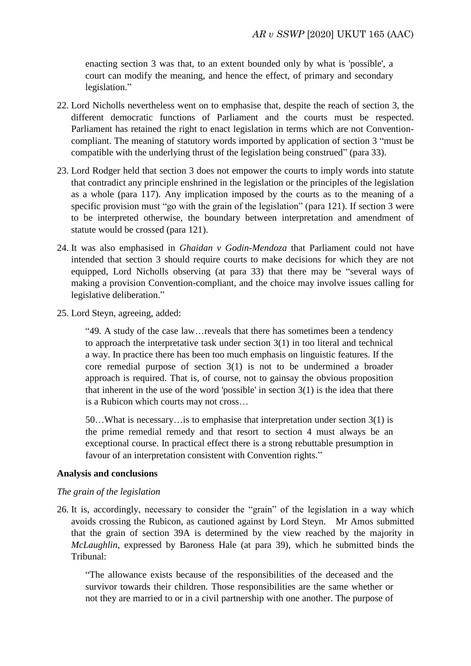enacting section 3 was that, to an extent bounded only by what is 'possible', a court can modify the meaning, and hence the effect, of primary and secondary legislation."

- 22. Lord Nicholls nevertheless went on to emphasise that, despite the reach of section 3, the different democratic functions of Parliament and the courts must be respected. Parliament has retained the right to enact legislation in terms which are not Conventioncompliant. The meaning of statutory words imported by application of section 3 "must be compatible with the underlying thrust of the legislation being construed" (para 33).
- 23. Lord Rodger held that section 3 does not empower the courts to imply words into statute that contradict any principle enshrined in the legislation or the principles of the legislation as a whole (para 117). Any implication imposed by the courts as to the meaning of a specific provision must "go with the grain of the legislation" (para 121). If section 3 were to be interpreted otherwise, the boundary between interpretation and amendment of statute would be crossed (para 121).
- 24. It was also emphasised in *Ghaidan v Godin-Mendoza* that Parliament could not have intended that section 3 should require courts to make decisions for which they are not equipped, Lord Nicholls observing (at para 33) that there may be "several ways of making a provision Convention-compliant, and the choice may involve issues calling for legislative deliberation."
- 25. Lord Steyn, agreeing, added:

"49. A study of the case law…reveals that there has sometimes been a tendency to approach the interpretative task under section 3(1) in too literal and technical a way. In practice there has been too much emphasis on linguistic features. If the core remedial purpose of section 3(1) is not to be undermined a broader approach is required. That is, of course, not to gainsay the obvious proposition that inherent in the use of the word 'possible' in section  $3(1)$  is the idea that there is a Rubicon which courts may not cross…

50…What is necessary…is to emphasise that interpretation under section 3(1) is the prime remedial remedy and that resort to section 4 must always be an exceptional course. In practical effect there is a strong rebuttable presumption in favour of an interpretation consistent with Convention rights."

### **Analysis and conclusions**

### *The grain of the legislation*

26. It is, accordingly, necessary to consider the "grain" of the legislation in a way which avoids crossing the Rubicon, as cautioned against by Lord Steyn. Mr Amos submitted that the grain of section 39A is determined by the view reached by the majority in *McLaughlin*, expressed by Baroness Hale (at para 39), which he submitted binds the Tribunal:

"The allowance exists because of the responsibilities of the deceased and the survivor towards their children. Those responsibilities are the same whether or not they are married to or in a civil partnership with one another. The purpose of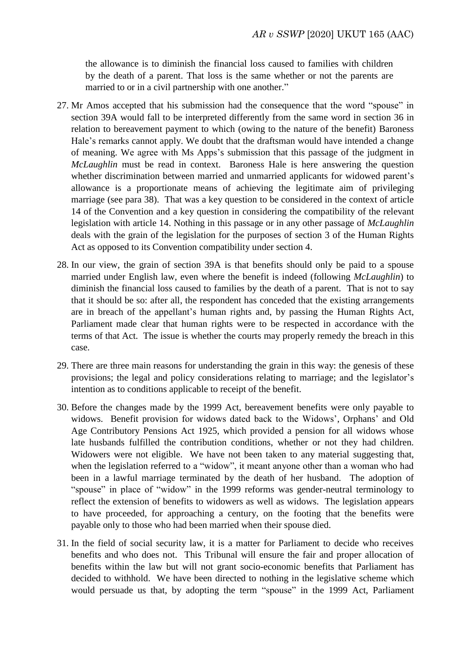the allowance is to diminish the financial loss caused to families with children by the death of a parent. That loss is the same whether or not the parents are married to or in a civil partnership with one another."

- 27. Mr Amos accepted that his submission had the consequence that the word "spouse" in section 39A would fall to be interpreted differently from the same word in section 36 in relation to bereavement payment to which (owing to the nature of the benefit) Baroness Hale's remarks cannot apply. We doubt that the draftsman would have intended a change of meaning. We agree with Ms Apps's submission that this passage of the judgment in *McLaughlin* must be read in context. Baroness Hale is here answering the question whether discrimination between married and unmarried applicants for widowed parent's allowance is a proportionate means of achieving the legitimate aim of privileging marriage (see para 38). That was a key question to be considered in the context of article 14 of the Convention and a key question in considering the compatibility of the relevant legislation with article 14. Nothing in this passage or in any other passage of *McLaughlin* deals with the grain of the legislation for the purposes of section 3 of the Human Rights Act as opposed to its Convention compatibility under section 4.
- 28. In our view, the grain of section 39A is that benefits should only be paid to a spouse married under English law, even where the benefit is indeed (following *McLaughlin*) to diminish the financial loss caused to families by the death of a parent. That is not to say that it should be so: after all, the respondent has conceded that the existing arrangements are in breach of the appellant's human rights and, by passing the Human Rights Act, Parliament made clear that human rights were to be respected in accordance with the terms of that Act. The issue is whether the courts may properly remedy the breach in this case.
- 29. There are three main reasons for understanding the grain in this way: the genesis of these provisions; the legal and policy considerations relating to marriage; and the legislator's intention as to conditions applicable to receipt of the benefit.
- 30. Before the changes made by the 1999 Act, bereavement benefits were only payable to widows. Benefit provision for widows dated back to the Widows', Orphans' and Old Age Contributory Pensions Act 1925, which provided a pension for all widows whose late husbands fulfilled the contribution conditions, whether or not they had children. Widowers were not eligible. We have not been taken to any material suggesting that, when the legislation referred to a "widow", it meant anyone other than a woman who had been in a lawful marriage terminated by the death of her husband. The adoption of "spouse" in place of "widow" in the 1999 reforms was gender-neutral terminology to reflect the extension of benefits to widowers as well as widows. The legislation appears to have proceeded, for approaching a century, on the footing that the benefits were payable only to those who had been married when their spouse died.
- 31. In the field of social security law, it is a matter for Parliament to decide who receives benefits and who does not. This Tribunal will ensure the fair and proper allocation of benefits within the law but will not grant socio-economic benefits that Parliament has decided to withhold. We have been directed to nothing in the legislative scheme which would persuade us that, by adopting the term "spouse" in the 1999 Act, Parliament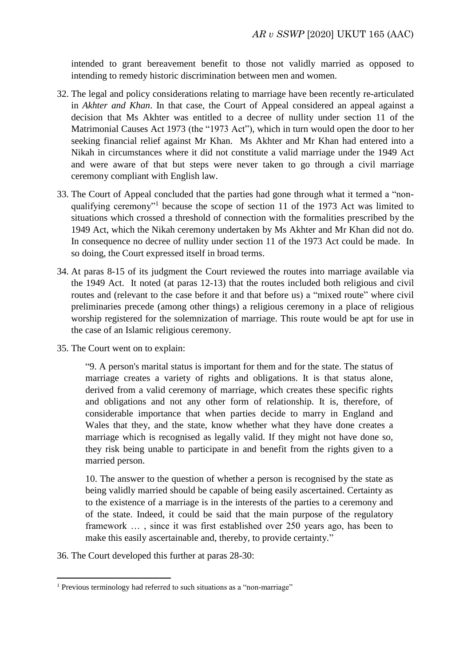intended to grant bereavement benefit to those not validly married as opposed to intending to remedy historic discrimination between men and women.

- 32. The legal and policy considerations relating to marriage have been recently re-articulated in *Akhter and Khan*. In that case, the Court of Appeal considered an appeal against a decision that Ms Akhter was entitled to a decree of nullity under section 11 of the Matrimonial Causes Act 1973 (the "1973 Act"), which in turn would open the door to her seeking financial relief against Mr Khan. Ms Akhter and Mr Khan had entered into a Nikah in circumstances where it did not constitute a valid marriage under the 1949 Act and were aware of that but steps were never taken to go through a civil marriage ceremony compliant with English law.
- 33. The Court of Appeal concluded that the parties had gone through what it termed a "nonqualifying ceremony"<sup>1</sup> because the scope of section 11 of the 1973 Act was limited to situations which crossed a threshold of connection with the formalities prescribed by the 1949 Act, which the Nikah ceremony undertaken by Ms Akhter and Mr Khan did not do. In consequence no decree of nullity under section 11 of the 1973 Act could be made. In so doing, the Court expressed itself in broad terms.
- 34. At paras 8-15 of its judgment the Court reviewed the routes into marriage available via the 1949 Act. It noted (at paras 12-13) that the routes included both religious and civil routes and (relevant to the case before it and that before us) a "mixed route" where civil preliminaries precede (among other things) a religious ceremony in a place of religious worship registered for the solemnization of marriage. This route would be apt for use in the case of an Islamic religious ceremony.
- 35. The Court went on to explain:

"9. A person's marital status is important for them and for the state. The status of marriage creates a variety of rights and obligations. It is that status alone, derived from a valid ceremony of marriage, which creates these specific rights and obligations and not any other form of relationship. It is, therefore, of considerable importance that when parties decide to marry in England and Wales that they, and the state, know whether what they have done creates a marriage which is recognised as legally valid. If they might not have done so, they risk being unable to participate in and benefit from the rights given to a married person.

10. The answer to the question of whether a person is recognised by the state as being validly married should be capable of being easily ascertained. Certainty as to the existence of a marriage is in the interests of the parties to a ceremony and of the state. Indeed, it could be said that the main purpose of the regulatory framework … , since it was first established over 250 years ago, has been to make this easily ascertainable and, thereby, to provide certainty."

36. The Court developed this further at paras 28-30:

 $\overline{a}$ 

<sup>1</sup> Previous terminology had referred to such situations as a "non-marriage"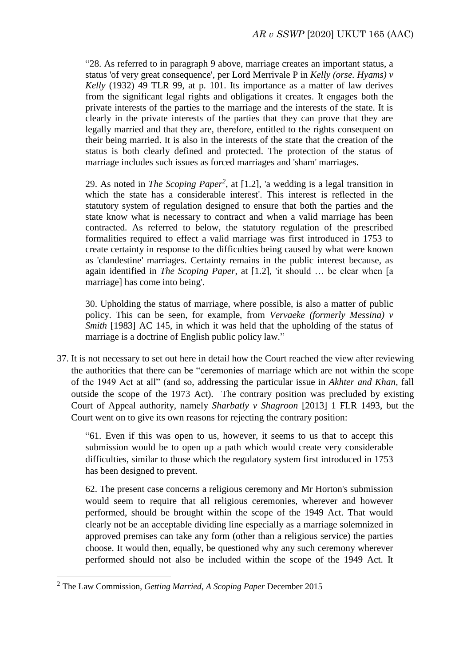"28. As referred to in paragraph 9 above, marriage creates an important status, a status 'of very great consequence', per Lord Merrivale P in *Kelly (orse. Hyams) v Kelly* (1932) 49 TLR 99, at p. 101. Its importance as a matter of law derives from the significant legal rights and obligations it creates. It engages both the private interests of the parties to the marriage and the interests of the state. It is clearly in the private interests of the parties that they can prove that they are legally married and that they are, therefore, entitled to the rights consequent on their being married. It is also in the interests of the state that the creation of the status is both clearly defined and protected. The protection of the status of marriage includes such issues as forced marriages and 'sham' marriages.

29. As noted in *The Scoping Paper<sup>2</sup>* , at [1.2], 'a wedding is a legal transition in which the state has a considerable interest'. This interest is reflected in the statutory system of regulation designed to ensure that both the parties and the state know what is necessary to contract and when a valid marriage has been contracted. As referred to below, the statutory regulation of the prescribed formalities required to effect a valid marriage was first introduced in 1753 to create certainty in response to the difficulties being caused by what were known as 'clandestine' marriages. Certainty remains in the public interest because, as again identified in *The Scoping Paper*, at [1.2], 'it should … be clear when [a marriage] has come into being'.

30. Upholding the status of marriage, where possible, is also a matter of public policy. This can be seen, for example, from *Vervaeke (formerly Messina) v Smith* [1983] AC 145, in which it was held that the upholding of the status of marriage is a doctrine of English public policy law."

37. It is not necessary to set out here in detail how the Court reached the view after reviewing the authorities that there can be "ceremonies of marriage which are not within the scope of the 1949 Act at all" (and so, addressing the particular issue in *Akhter and Khan,* fall outside the scope of the 1973 Act). The contrary position was precluded by existing Court of Appeal authority, namely *Sharbatly v Shagroon* [2013] 1 FLR 1493, but the Court went on to give its own reasons for rejecting the contrary position:

"61. Even if this was open to us, however, it seems to us that to accept this submission would be to open up a path which would create very considerable difficulties, similar to those which the regulatory system first introduced in 1753 has been designed to prevent.

62. The present case concerns a religious ceremony and Mr Horton's submission would seem to require that all religious ceremonies, wherever and however performed, should be brought within the scope of the 1949 Act. That would clearly not be an acceptable dividing line especially as a marriage solemnized in approved premises can take any form (other than a religious service) the parties choose. It would then, equally, be questioned why any such ceremony wherever performed should not also be included within the scope of the 1949 Act. It

**.** 

<sup>2</sup> The Law Commission, *Getting Married, A Scoping Paper* December 2015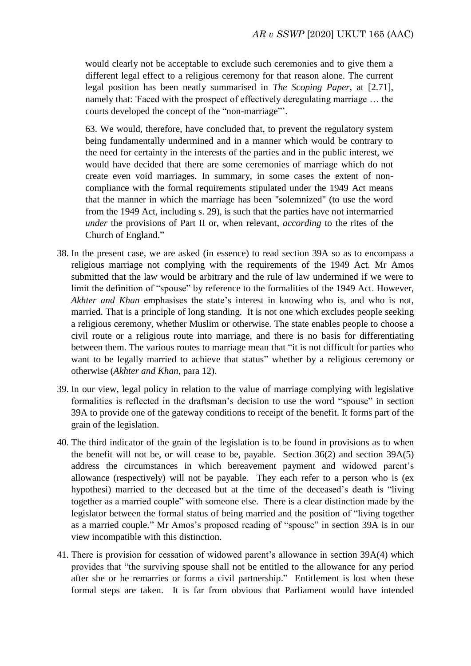would clearly not be acceptable to exclude such ceremonies and to give them a different legal effect to a religious ceremony for that reason alone. The current legal position has been neatly summarised in *The Scoping Paper*, at [2.71], namely that: 'Faced with the prospect of effectively deregulating marriage … the courts developed the concept of the "non-marriage"'.

63. We would, therefore, have concluded that, to prevent the regulatory system being fundamentally undermined and in a manner which would be contrary to the need for certainty in the interests of the parties and in the public interest, we would have decided that there are some ceremonies of marriage which do not create even void marriages. In summary, in some cases the extent of noncompliance with the formal requirements stipulated under the 1949 Act means that the manner in which the marriage has been "solemnized" (to use the word from the 1949 Act, including s. 29), is such that the parties have not intermarried *under* the provisions of Part II or, when relevant, *according* to the rites of the Church of England."

- 38. In the present case, we are asked (in essence) to read section 39A so as to encompass a religious marriage not complying with the requirements of the 1949 Act. Mr Amos submitted that the law would be arbitrary and the rule of law undermined if we were to limit the definition of "spouse" by reference to the formalities of the 1949 Act. However, *Akhter and Khan* emphasises the state's interest in knowing who is, and who is not, married. That is a principle of long standing. It is not one which excludes people seeking a religious ceremony, whether Muslim or otherwise. The state enables people to choose a civil route or a religious route into marriage, and there is no basis for differentiating between them. The various routes to marriage mean that "it is not difficult for parties who want to be legally married to achieve that status" whether by a religious ceremony or otherwise (*Akhter and Khan*, para 12).
- 39. In our view, legal policy in relation to the value of marriage complying with legislative formalities is reflected in the draftsman's decision to use the word "spouse" in section 39A to provide one of the gateway conditions to receipt of the benefit. It forms part of the grain of the legislation.
- 40. The third indicator of the grain of the legislation is to be found in provisions as to when the benefit will not be, or will cease to be, payable. Section 36(2) and section 39A(5) address the circumstances in which bereavement payment and widowed parent's allowance (respectively) will not be payable. They each refer to a person who is (ex hypothesi) married to the deceased but at the time of the deceased's death is "living together as a married couple" with someone else. There is a clear distinction made by the legislator between the formal status of being married and the position of "living together as a married couple." Mr Amos's proposed reading of "spouse" in section 39A is in our view incompatible with this distinction.
- 41. There is provision for cessation of widowed parent's allowance in section 39A(4) which provides that "the surviving spouse shall not be entitled to the allowance for any period after she or he remarries or forms a civil partnership." Entitlement is lost when these formal steps are taken. It is far from obvious that Parliament would have intended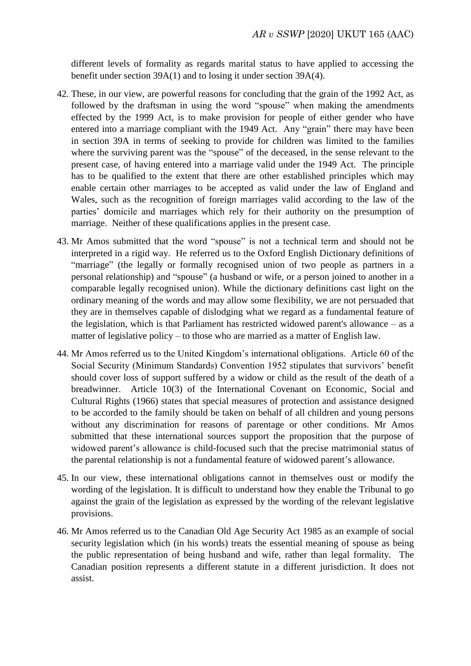different levels of formality as regards marital status to have applied to accessing the benefit under section 39A(1) and to losing it under section 39A(4).

- 42. These, in our view, are powerful reasons for concluding that the grain of the 1992 Act, as followed by the draftsman in using the word "spouse" when making the amendments effected by the 1999 Act, is to make provision for people of either gender who have entered into a marriage compliant with the 1949 Act. Any "grain" there may have been in section 39A in terms of seeking to provide for children was limited to the families where the surviving parent was the "spouse" of the deceased, in the sense relevant to the present case, of having entered into a marriage valid under the 1949 Act. The principle has to be qualified to the extent that there are other established principles which may enable certain other marriages to be accepted as valid under the law of England and Wales, such as the recognition of foreign marriages valid according to the law of the parties' domicile and marriages which rely for their authority on the presumption of marriage. Neither of these qualifications applies in the present case.
- 43. Mr Amos submitted that the word "spouse" is not a technical term and should not be interpreted in a rigid way. He referred us to the Oxford English Dictionary definitions of "marriage" (the legally or formally recognised union of two people as partners in a personal relationship) and "spouse" (a husband or wife, or a person joined to another in a comparable legally recognised union). While the dictionary definitions cast light on the ordinary meaning of the words and may allow some flexibility, we are not persuaded that they are in themselves capable of dislodging what we regard as a fundamental feature of the legislation, which is that Parliament has restricted widowed parent's allowance – as a matter of legislative policy – to those who are married as a matter of English law.
- 44. Mr Amos referred us to the United Kingdom's international obligations. Article 60 of the Social Security (Minimum Standards) Convention 1952 stipulates that survivors' benefit should cover loss of support suffered by a widow or child as the result of the death of a breadwinner. Article 10(3) of the International Covenant on Economic, Social and Cultural Rights (1966) states that special measures of protection and assistance designed to be accorded to the family should be taken on behalf of all children and young persons without any discrimination for reasons of parentage or other conditions. Mr Amos submitted that these international sources support the proposition that the purpose of widowed parent's allowance is child-focused such that the precise matrimonial status of the parental relationship is not a fundamental feature of widowed parent's allowance.
- 45. In our view, these international obligations cannot in themselves oust or modify the wording of the legislation. It is difficult to understand how they enable the Tribunal to go against the grain of the legislation as expressed by the wording of the relevant legislative provisions.
- 46. Mr Amos referred us to the Canadian Old Age Security Act 1985 as an example of social security legislation which (in his words) treats the essential meaning of spouse as being the public representation of being husband and wife, rather than legal formality. The Canadian position represents a different statute in a different jurisdiction. It does not assist.